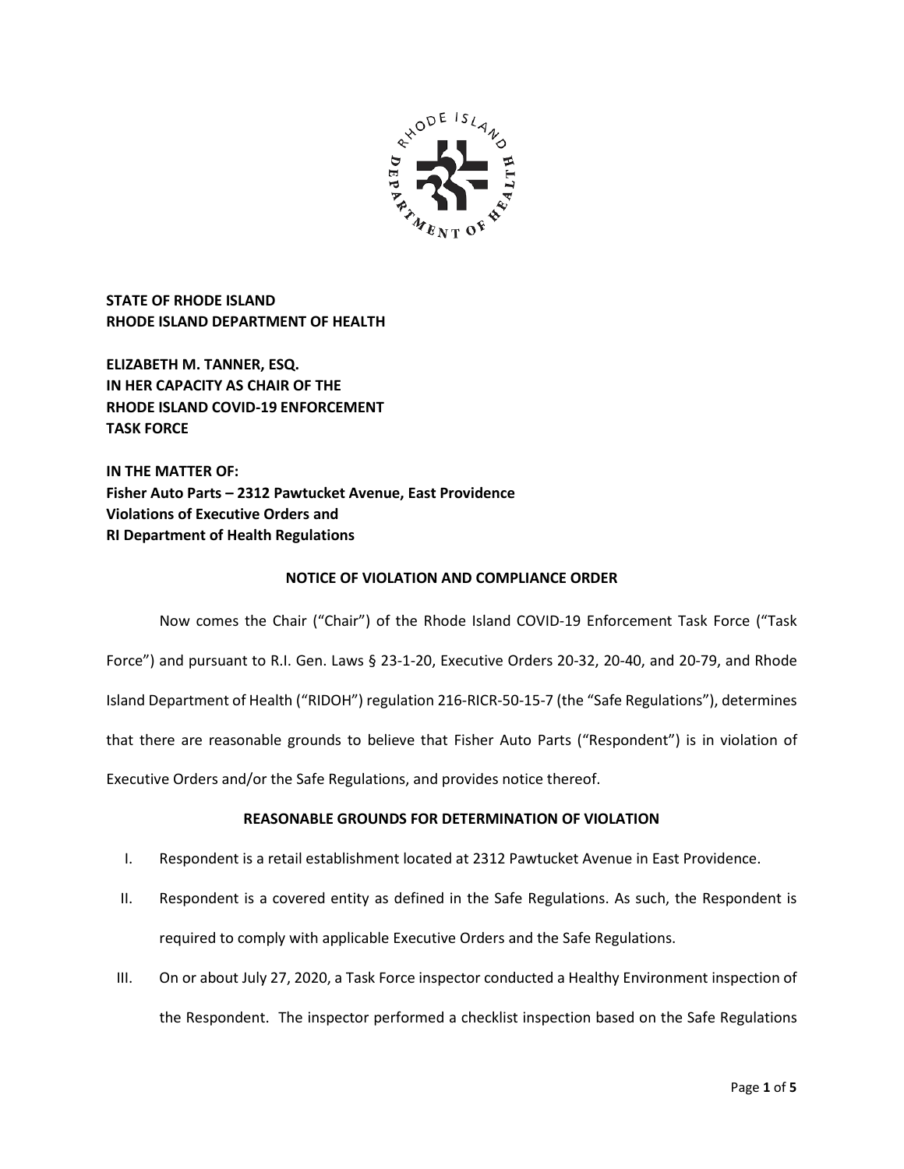

**STATE OF RHODE ISLAND RHODE ISLAND DEPARTMENT OF HEALTH**

**ELIZABETH M. TANNER, ESQ. IN HER CAPACITY AS CHAIR OF THE RHODE ISLAND COVID-19 ENFORCEMENT TASK FORCE** 

**IN THE MATTER OF: Fisher Auto Parts – 2312 Pawtucket Avenue, East Providence Violations of Executive Orders and RI Department of Health Regulations**

# **NOTICE OF VIOLATION AND COMPLIANCE ORDER**

Now comes the Chair ("Chair") of the Rhode Island COVID-19 Enforcement Task Force ("Task Force") and pursuant to R.I. Gen. Laws § 23-1-20, Executive Orders 20-32, 20-40, and 20-79, and Rhode Island Department of Health ("RIDOH") regulation 216-RICR-50-15-7 (the "Safe Regulations"), determines that there are reasonable grounds to believe that Fisher Auto Parts ("Respondent") is in violation of Executive Orders and/or the Safe Regulations, and provides notice thereof.

# **REASONABLE GROUNDS FOR DETERMINATION OF VIOLATION**

- I. Respondent is a retail establishment located at 2312 Pawtucket Avenue in East Providence.
- II. Respondent is a covered entity as defined in the Safe Regulations. As such, the Respondent is required to comply with applicable Executive Orders and the Safe Regulations.
- III. On or about July 27, 2020, a Task Force inspector conducted a Healthy Environment inspection of the Respondent. The inspector performed a checklist inspection based on the Safe Regulations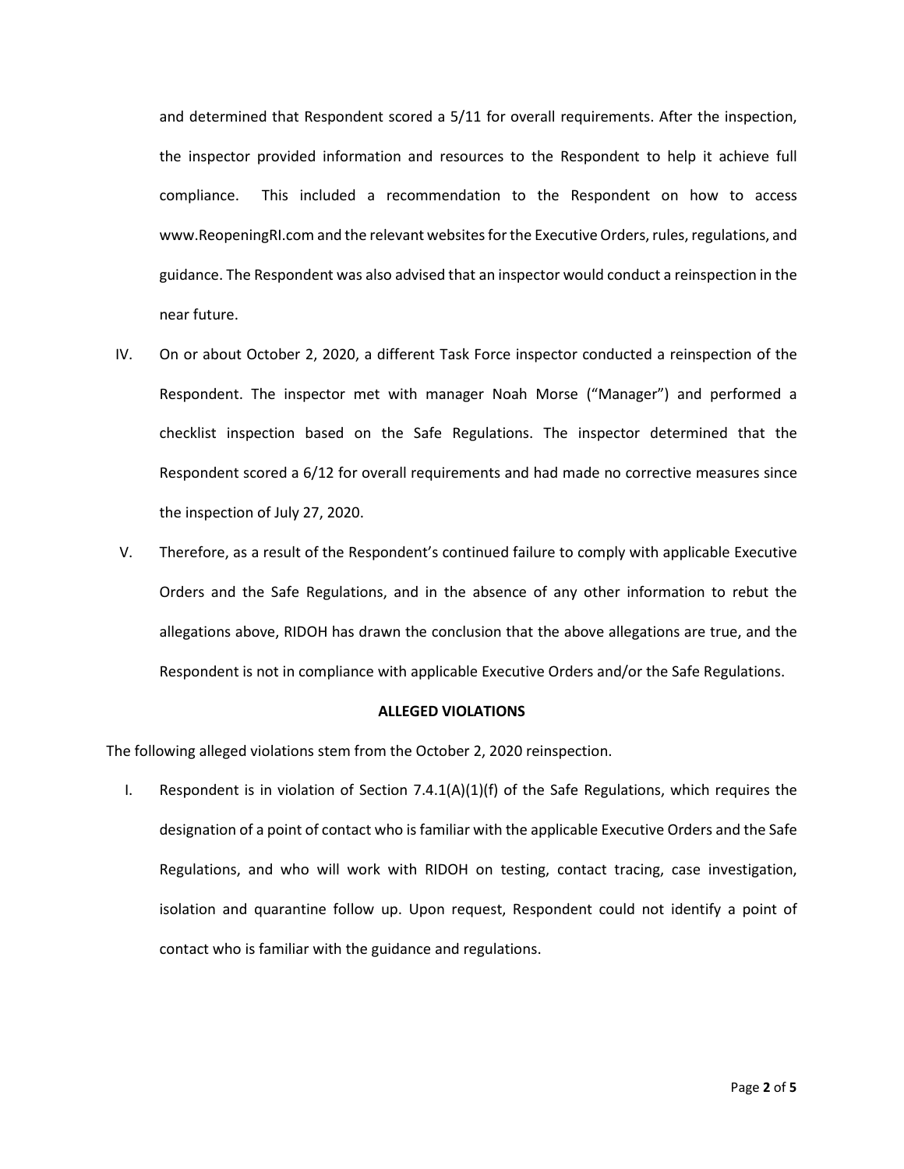and determined that Respondent scored a 5/11 for overall requirements. After the inspection, the inspector provided information and resources to the Respondent to help it achieve full compliance. This included a recommendation to the Respondent on how to access www.ReopeningRI.com and the relevant websites for the Executive Orders, rules, regulations, and guidance. The Respondent was also advised that an inspector would conduct a reinspection in the near future.

- IV. On or about October 2, 2020, a different Task Force inspector conducted a reinspection of the Respondent. The inspector met with manager Noah Morse ("Manager") and performed a checklist inspection based on the Safe Regulations. The inspector determined that the Respondent scored a 6/12 for overall requirements and had made no corrective measures since the inspection of July 27, 2020.
- V. Therefore, as a result of the Respondent's continued failure to comply with applicable Executive Orders and the Safe Regulations, and in the absence of any other information to rebut the allegations above, RIDOH has drawn the conclusion that the above allegations are true, and the Respondent is not in compliance with applicable Executive Orders and/or the Safe Regulations.

### **ALLEGED VIOLATIONS**

The following alleged violations stem from the October 2, 2020 reinspection.

I. Respondent is in violation of Section  $7.4.1(A)(1)(f)$  of the Safe Regulations, which requires the designation of a point of contact who is familiar with the applicable Executive Orders and the Safe Regulations, and who will work with RIDOH on testing, contact tracing, case investigation, isolation and quarantine follow up. Upon request, Respondent could not identify a point of contact who is familiar with the guidance and regulations.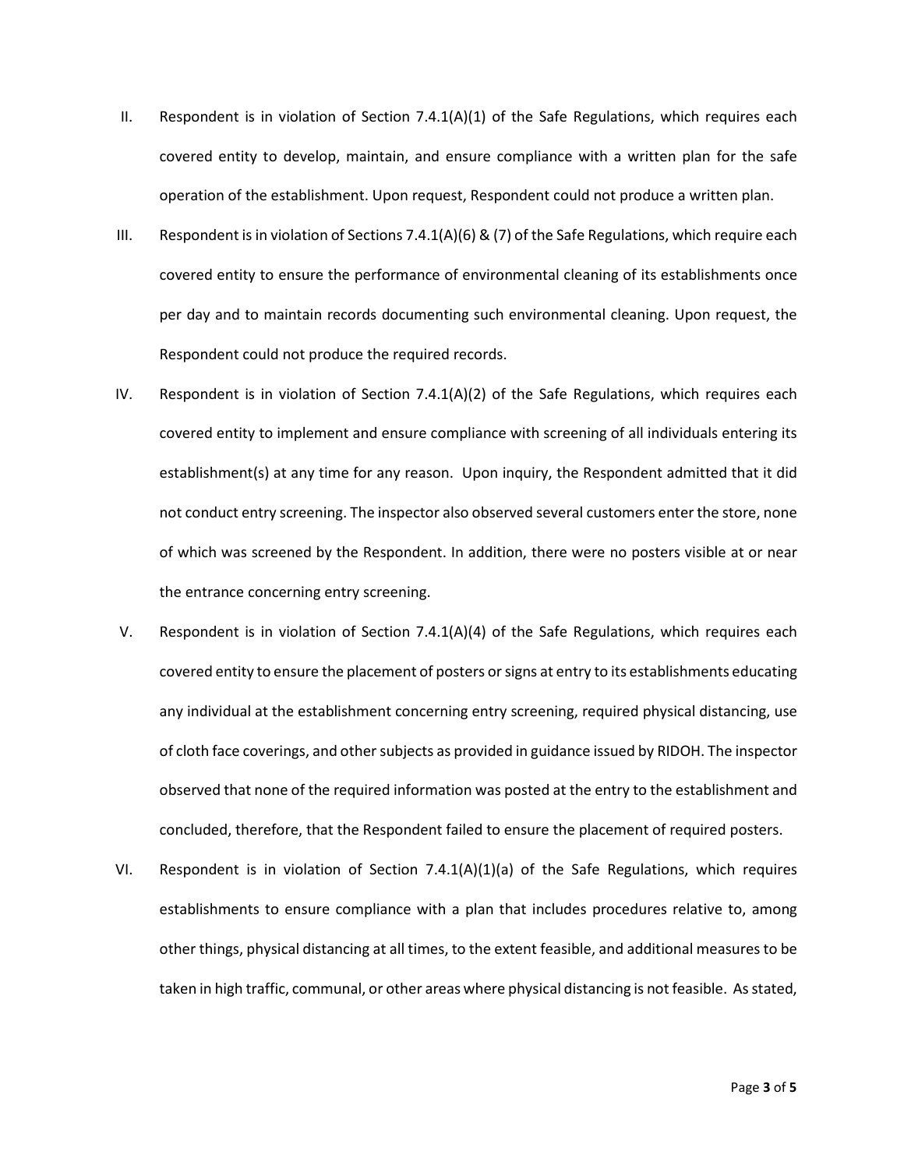- II. Respondent is in violation of Section  $7.4.1(A)(1)$  of the Safe Regulations, which requires each covered entity to develop, maintain, and ensure compliance with a written plan for the safe operation of the establishment. Upon request, Respondent could not produce a written plan.
- III. Respondent is in violation of Sections 7.4.1(A)(6) & (7) of the Safe Regulations, which require each covered entity to ensure the performance of environmental cleaning of its establishments once per day and to maintain records documenting such environmental cleaning. Upon request, the Respondent could not produce the required records.
- IV. Respondent is in violation of Section 7.4.1(A)(2) of the Safe Regulations, which requires each covered entity to implement and ensure compliance with screening of all individuals entering its establishment(s) at any time for any reason. Upon inquiry, the Respondent admitted that it did not conduct entry screening. The inspector also observed several customers enter the store, none of which was screened by the Respondent. In addition, there were no posters visible at or near the entrance concerning entry screening.
- V. Respondent is in violation of Section 7.4.1(A)(4) of the Safe Regulations, which requires each covered entity to ensure the placement of posters or signs at entry to its establishments educating any individual at the establishment concerning entry screening, required physical distancing, use of cloth face coverings, and other subjects as provided in guidance issued by RIDOH. The inspector observed that none of the required information was posted at the entry to the establishment and concluded, therefore, that the Respondent failed to ensure the placement of required posters.
- VI. Respondent is in violation of Section 7.4.1(A)(1)(a) of the Safe Regulations, which requires establishments to ensure compliance with a plan that includes procedures relative to, among other things, physical distancing at all times, to the extent feasible, and additional measures to be taken in high traffic, communal, or other areas where physical distancing is not feasible. As stated,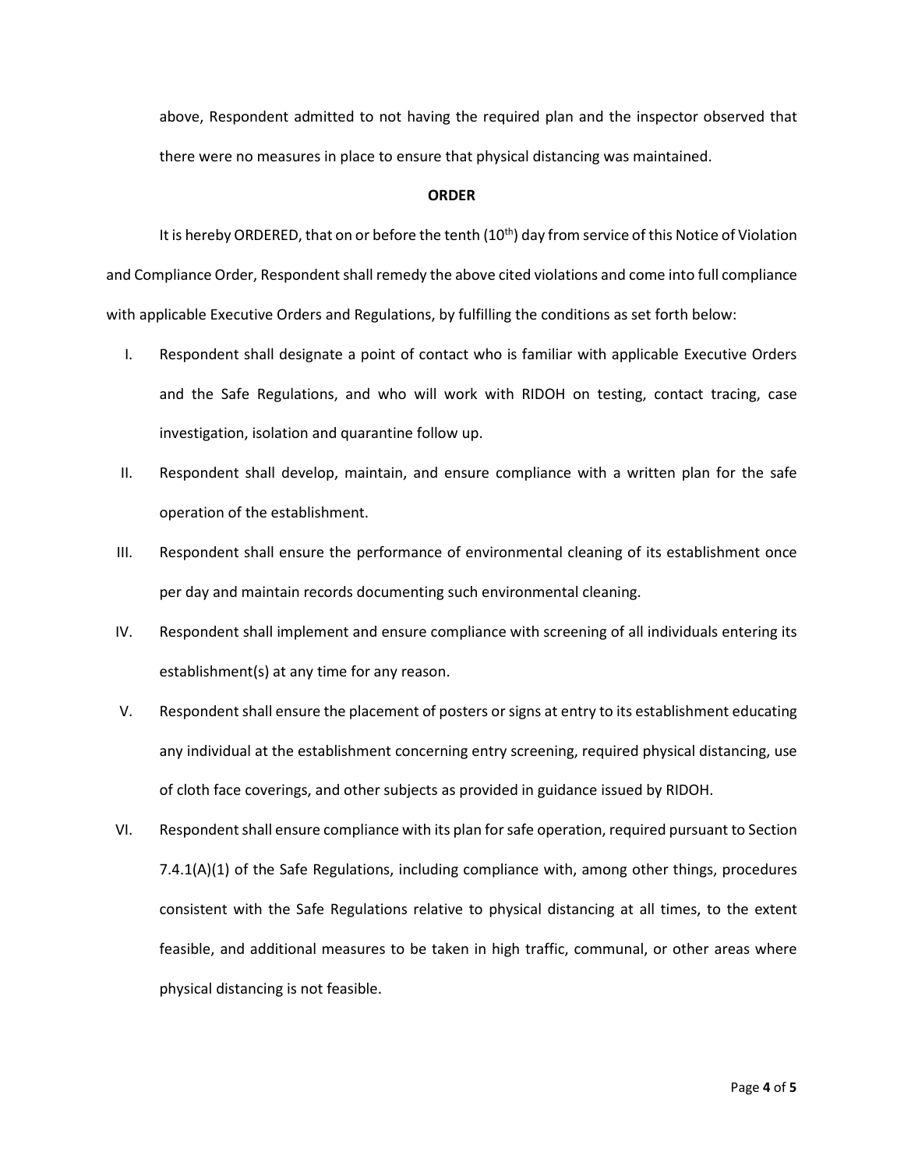above, Respondent admitted to not having the required plan and the inspector observed that there were no measures in place to ensure that physical distancing was maintained.

## **ORDER**

It is hereby ORDERED, that on or before the tenth (10<sup>th</sup>) day from service of this Notice of Violation and Compliance Order, Respondent shall remedy the above cited violations and come into full compliance with applicable Executive Orders and Regulations, by fulfilling the conditions as set forth below:

- I. Respondent shall designate a point of contact who is familiar with applicable Executive Orders and the Safe Regulations, and who will work with RIDOH on testing, contact tracing, case investigation, isolation and quarantine follow up.
- II. Respondent shall develop, maintain, and ensure compliance with a written plan for the safe operation of the establishment.
- III. Respondent shall ensure the performance of environmental cleaning of its establishment once per day and maintain records documenting such environmental cleaning.
- IV. Respondent shall implement and ensure compliance with screening of all individuals entering its establishment(s) at any time for any reason.
- V. Respondent shall ensure the placement of posters or signs at entry to its establishment educating any individual at the establishment concerning entry screening, required physical distancing, use of cloth face coverings, and other subjects as provided in guidance issued by RIDOH.
- VI. Respondent shall ensure compliance with its plan for safe operation, required pursuant to Section 7.4.1(A)(1) of the Safe Regulations, including compliance with, among other things, procedures consistent with the Safe Regulations relative to physical distancing at all times, to the extent feasible, and additional measures to be taken in high traffic, communal, or other areas where physical distancing is not feasible.